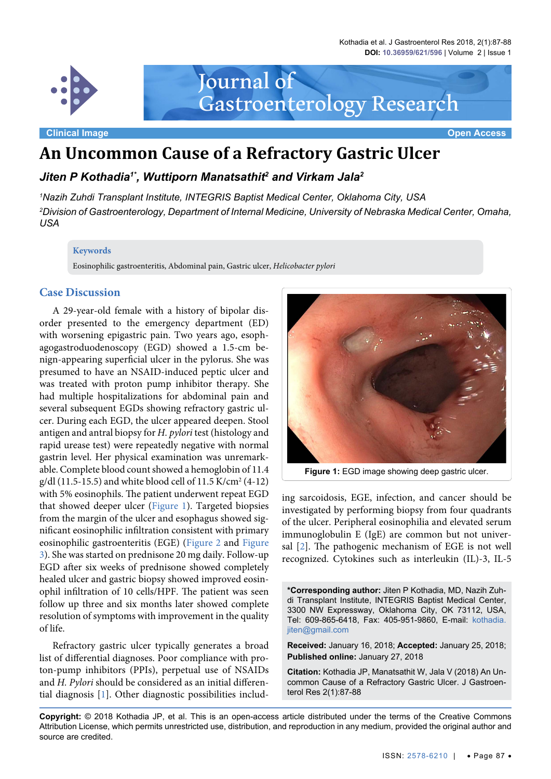Kothadia et al. J Gastroenterol Res 2018, 2(1):87-88 **DOI: 10.36959/621/596** | Volume 2 | Issue 1



Journal of Gastroenterology Research

**Clinical Image Open Access**

# **An Uncommon Cause of a Refractory Gastric Ulcer**

*Jiten P Kothadia1\*, Wuttiporn Manatsathit2 and Virkam Jala2*

*1 Nazih Zuhdi Transplant Institute, INTEGRIS Baptist Medical Center, Oklahoma City, USA 2 Division of Gastroenterology, Department of Internal Medicine, University of Nebraska Medical Center, Omaha, USA*

#### **Keywords**

Eosinophilic gastroenteritis, Abdominal pain, Gastric ulcer, *Helicobacter pylori*

# **Case Discussion**

A 29-year-old female with a history of bipolar disorder presented to the emergency department (ED) with worsening epigastric pain. Two years ago, esophagogastroduodenoscopy (EGD) showed a 1.5-cm benign-appearing superficial ulcer in the pylorus. She was presumed to have an NSAID-induced peptic ulcer and was treated with proton pump inhibitor therapy. She had multiple hospitalizations for abdominal pain and several subsequent EGDs showing refractory gastric ulcer. During each EGD, the ulcer appeared deepen. Stool antigen and antral biopsy for *H. pylori* test (histology and rapid urease test) were repeatedly negative with normal gastrin level. Her physical examination was unremarkable. Complete blood count showed a hemoglobin of 11.4 g/dl (11.5-15.5) and white blood cell of 11.5 K/cm2 (4-12) with 5% eosinophils. The patient underwent repeat EGD that showed deeper ulcer [\(Figure 1\)](#page-0-0). Targeted biopsies from the margin of the ulcer and esophagus showed significant eosinophilic infiltration consistent with primary eosinophilic gastroenteritis (EGE) [\(Figure 2](#page-1-0) and [Figure](#page-1-1)  [3\)](#page-1-1). She was started on prednisone 20 mg daily. Follow-up EGD after six weeks of prednisone showed completely healed ulcer and gastric biopsy showed improved eosinophil infiltration of 10 cells/HPF. The patient was seen follow up three and six months later showed complete resolution of symptoms with improvement in the quality of life.

Refractory gastric ulcer typically generates a broad list of differential diagnoses. Poor compliance with proton-pump inhibitors (PPIs), perpetual use of NSAIDs and *H. Pylori* should be considered as an initial differential diagnosis [\[1](#page-1-2)]. Other diagnostic possibilities includ-

<span id="page-0-0"></span>

Figure 1: EGD image showing deep gastric ulcer.

ing sarcoidosis, EGE, infection, and cancer should be investigated by performing biopsy from four quadrants of the ulcer. Peripheral eosinophilia and elevated serum immunoglobulin E (IgE) are common but not universal [\[2](#page-1-3)]. The pathogenic mechanism of EGE is not well recognized. Cytokines such as interleukin (IL)-3, IL-5

**\*Corresponding author:** Jiten P Kothadia, MD, Nazih Zuhdi Transplant Institute, INTEGRIS Baptist Medical Center, 3300 NW Expressway, Oklahoma City, OK 73112, USA, Tel: 609-865-6418, Fax: 405-951-9860, E-mail: [kothadia.](mailto:kothadia.jiten@gmail.com) [jiten@gmail.com](mailto:kothadia.jiten@gmail.com)

**Received:** January 16, 2018; **Accepted:** January 25, 2018; **Published online:** January 27, 2018

**Citation:** Kothadia JP, Manatsathit W, Jala V (2018) An Uncommon Cause of a Refractory Gastric Ulcer. J Gastroenterol Res 2(1):87-88

**Copyright:** © 2018 Kothadia JP, et al. This is an open-access article distributed under the terms of the Creative Commons Attribution License, which permits unrestricted use, distribution, and reproduction in any medium, provided the original author and source are credited.